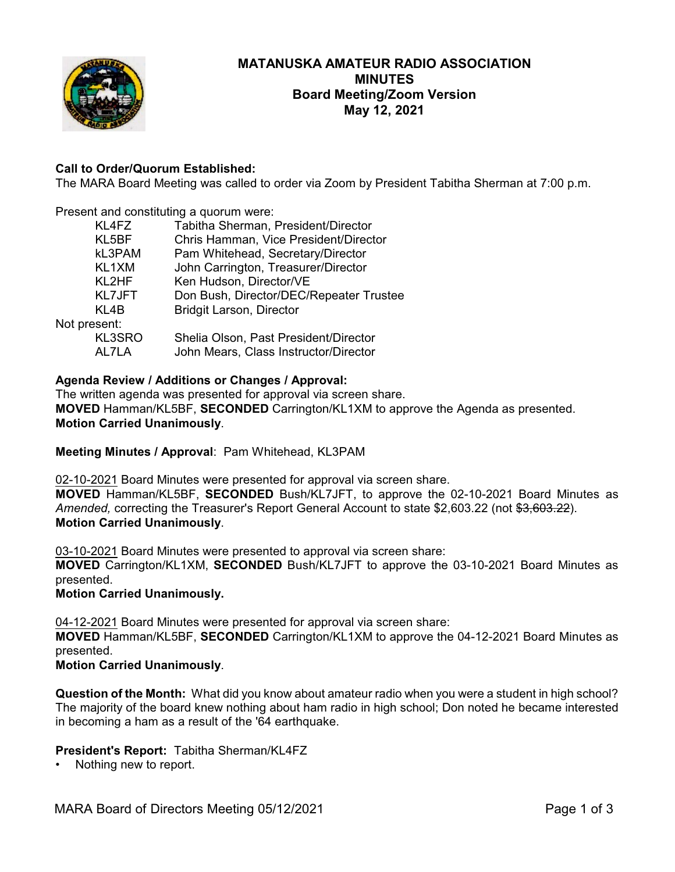

# **MATANUSKA AMATEUR RADIO ASSOCIATION MINUTES Board Meeting/Zoom Version May 12, 2021**

# **Call to Order/Quorum Established:**

The MARA Board Meeting was called to order via Zoom by President Tabitha Sherman at 7:00 p.m.

Present and constituting a quorum were:

|              | KL4FZ         | Tabitha Sherman, President/Director     |
|--------------|---------------|-----------------------------------------|
|              | KL5BF         | Chris Hamman, Vice President/Director   |
|              | kL3PAM        | Pam Whitehead, Secretary/Director       |
|              | KL1XM         | John Carrington, Treasurer/Director     |
|              | KL2HF         | Ken Hudson, Director/VE                 |
|              | <b>KL7JFT</b> | Don Bush, Director/DEC/Repeater Trustee |
|              | KL4B          | <b>Bridgit Larson, Director</b>         |
| Not present: |               |                                         |
|              | KL3SRO        | Shelia Olson, Past President/Director   |
|              | AL7LA         | John Mears, Class Instructor/Director   |
|              |               |                                         |

## **Agenda Review / Additions or Changes / Approval:**

The written agenda was presented for approval via screen share. **MOVED** Hamman/KL5BF, **SECONDED** Carrington/KL1XM to approve the Agenda as presented. **Motion Carried Unanimously**.

**Meeting Minutes / Approval**: Pam Whitehead, KL3PAM

02-10-2021 Board Minutes were presented for approval via screen share.

**MOVED** Hamman/KL5BF, **SECONDED** Bush/KL7JFT, to approve the 02-10-2021 Board Minutes as Amended, correcting the Treasurer's Report General Account to state \$2,603.22 (not \$3,603.22). **Motion Carried Unanimously**.

03-10-2021 Board Minutes were presented to approval via screen share:

**MOVED** Carrington/KL1XM, **SECONDED** Bush/KL7JFT to approve the 03-10-2021 Board Minutes as presented.

**Motion Carried Unanimously.**

04-12-2021 Board Minutes were presented for approval via screen share:

**MOVED** Hamman/KL5BF, **SECONDED** Carrington/KL1XM to approve the 04-12-2021 Board Minutes as presented.

#### **Motion Carried Unanimously**.

**Question of the Month:** What did you know about amateur radio when you were a student in high school? The majority of the board knew nothing about ham radio in high school; Don noted he became interested in becoming a ham as a result of the '64 earthquake.

#### **President's Report:** Tabitha Sherman/KL4FZ

Nothing new to report.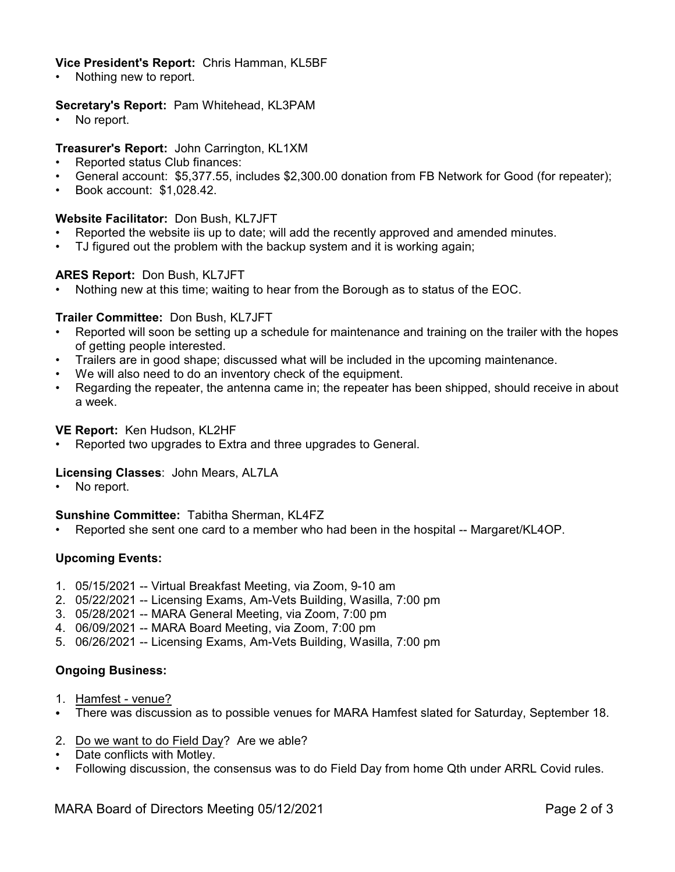# **Vice President's Report:** Chris Hamman, KL5BF

Nothing new to report.

## **Secretary's Report:** Pam Whitehead, KL3PAM

No report.

# **Treasurer's Report:** John Carrington, KL1XM

- Reported status Club finances:
- General account: \$5,377.55, includes \$2,300.00 donation from FB Network for Good (for repeater);
- Book account: \$1,028.42.

## **Website Facilitator:** Don Bush, KL7JFT

- Reported the website iis up to date; will add the recently approved and amended minutes.
- TJ figured out the problem with the backup system and it is working again;

## **ARES Report:** Don Bush, KL7JFT

• Nothing new at this time; waiting to hear from the Borough as to status of the EOC.

## **Trailer Committee:** Don Bush, KL7JFT

- Reported will soon be setting up a schedule for maintenance and training on the trailer with the hopes of getting people interested.
- Trailers are in good shape; discussed what will be included in the upcoming maintenance.
- We will also need to do an inventory check of the equipment.
- Regarding the repeater, the antenna came in; the repeater has been shipped, should receive in about a week.

#### **VE Report:** Ken Hudson, KL2HF

• Reported two upgrades to Extra and three upgrades to General.

#### **Licensing Classes**: John Mears, AL7LA

No report.

#### **Sunshine Committee:** Tabitha Sherman, KL4FZ

• Reported she sent one card to a member who had been in the hospital -- Margaret/KL4OP.

# **Upcoming Events:**

- 1. 05/15/2021 -- Virtual Breakfast Meeting, via Zoom, 9-10 am
- 2. 05/22/2021 -- Licensing Exams, Am-Vets Building, Wasilla, 7:00 pm
- 3. 05/28/2021 -- MARA General Meeting, via Zoom, 7:00 pm
- 4. 06/09/2021 -- MARA Board Meeting, via Zoom, 7:00 pm
- 5. 06/26/2021 -- Licensing Exams, Am-Vets Building, Wasilla, 7:00 pm

#### **Ongoing Business:**

- 1. Hamfest venue?
- There was discussion as to possible venues for MARA Hamfest slated for Saturday, September 18.
- 2. Do we want to do Field Day? Are we able?
- Date conflicts with Motley.
- Following discussion, the consensus was to do Field Day from home Qth under ARRL Covid rules.